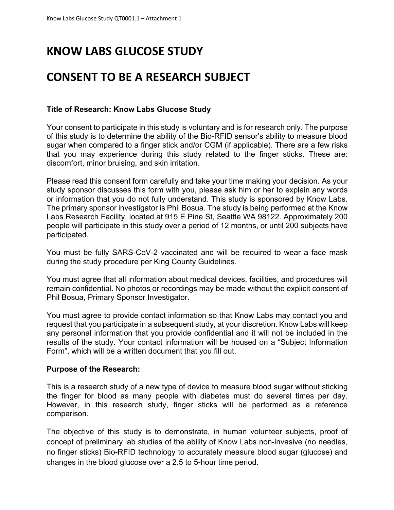# **KNOW LABS GLUCOSE STUDY**

## **CONSENT TO BE A RESEARCH SUBJECT**

#### **Title of Research: Know Labs Glucose Study**

Your consent to participate in this study is voluntary and is for research only. The purpose of this study is to determine the ability of the Bio-RFID sensor's ability to measure blood sugar when compared to a finger stick and/or CGM (if applicable). There are a few risks that you may experience during this study related to the finger sticks. These are: discomfort, minor bruising, and skin irritation.

Please read this consent form carefully and take your time making your decision. As your study sponsor discusses this form with you, please ask him or her to explain any words or information that you do not fully understand. This study is sponsored by Know Labs. The primary sponsor investigator is Phil Bosua. The study is being performed at the Know Labs Research Facility, located at 915 E Pine St, Seattle WA 98122. Approximately 200 people will participate in this study over a period of 12 months, or until 200 subjects have participated.

You must be fully SARS-CoV-2 vaccinated and will be required to wear a face mask during the study procedure per King County Guidelines.

You must agree that all information about medical devices, facilities, and procedures will remain confidential. No photos or recordings may be made without the explicit consent of Phil Bosua, Primary Sponsor Investigator.

You must agree to provide contact information so that Know Labs may contact you and request that you participate in a subsequent study, at your discretion. Know Labs will keep any personal information that you provide confidential and it will not be included in the results of the study. Your contact information will be housed on a "Subject Information Form", which will be a written document that you fill out.

#### **Purpose of the Research:**

This is a research study of a new type of device to measure blood sugar without sticking the finger for blood as many people with diabetes must do several times per day. However, in this research study, finger sticks will be performed as a reference comparison.

The objective of this study is to demonstrate, in human volunteer subjects, proof of concept of preliminary lab studies of the ability of Know Labs non-invasive (no needles, no finger sticks) Bio-RFID technology to accurately measure blood sugar (glucose) and changes in the blood glucose over a 2.5 to 5-hour time period.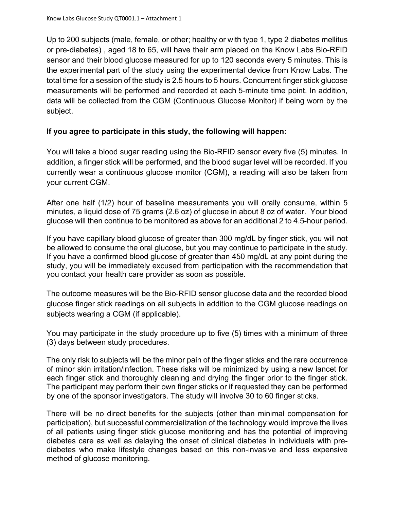Up to 200 subjects (male, female, or other; healthy or with type 1, type 2 diabetes mellitus or pre-diabetes) , aged 18 to 65, will have their arm placed on the Know Labs Bio-RFID sensor and their blood glucose measured for up to 120 seconds every 5 minutes. This is the experimental part of the study using the experimental device from Know Labs. The total time for a session of the study is 2.5 hours to 5 hours. Concurrent finger stick glucose measurements will be performed and recorded at each 5-minute time point. In addition, data will be collected from the CGM (Continuous Glucose Monitor) if being worn by the subject.

### **If you agree to participate in this study, the following will happen:**

You will take a blood sugar reading using the Bio-RFID sensor every five (5) minutes. In addition, a finger stick will be performed, and the blood sugar level will be recorded. If you currently wear a continuous glucose monitor (CGM), a reading will also be taken from your current CGM.

After one half (1/2) hour of baseline measurements you will orally consume, within 5 minutes, a liquid dose of 75 grams (2.6 oz) of glucose in about 8 oz of water. Your blood glucose will then continue to be monitored as above for an additional 2 to 4.5-hour period.

If you have capillary blood glucose of greater than 300 mg/dL by finger stick, you will not be allowed to consume the oral glucose, but you may continue to participate in the study. If you have a confirmed blood glucose of greater than 450 mg/dL at any point during the study, you will be immediately excused from participation with the recommendation that you contact your health care provider as soon as possible.

The outcome measures will be the Bio-RFID sensor glucose data and the recorded blood glucose finger stick readings on all subjects in addition to the CGM glucose readings on subjects wearing a CGM (if applicable).

You may participate in the study procedure up to five (5) times with a minimum of three (3) days between study procedures.

The only risk to subjects will be the minor pain of the finger sticks and the rare occurrence of minor skin irritation/infection. These risks will be minimized by using a new lancet for each finger stick and thoroughly cleaning and drying the finger prior to the finger stick. The participant may perform their own finger sticks or if requested they can be performed by one of the sponsor investigators. The study will involve 30 to 60 finger sticks.

There will be no direct benefits for the subjects (other than minimal compensation for participation), but successful commercialization of the technology would improve the lives of all patients using finger stick glucose monitoring and has the potential of improving diabetes care as well as delaying the onset of clinical diabetes in individuals with prediabetes who make lifestyle changes based on this non-invasive and less expensive method of glucose monitoring.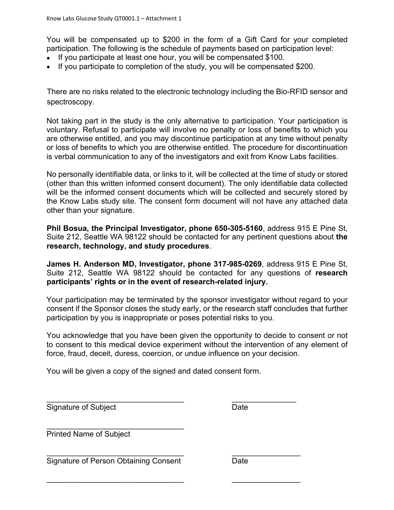You will be compensated up to \$200 in the form of a Gift Card for your completed participation. The following is the schedule of payments based on participation level:

- If you participate at least one hour, you will be compensated \$100.
- If you participate to completion of the study, you will be compensated \$200.

There are no risks related to the electronic technology including the Bio-RFID sensor and spectroscopy.

Not taking part in the study is the only alternative to participation. Your participation is voluntary. Refusal to participate will involve no penalty or loss of benefits to which you are otherwise entitled, and you may discontinue participation at any time without penalty or loss of benefits to which you are otherwise entitled. The procedure for discontinuation is verbal communication to any of the investigators and exit from Know Labs facilities.

No personally identifiable data, or links to it, will be collected at the time of study or stored (other than this written informed consent document). The only identifiable data collected will be the informed consent documents which will be collected and securely stored by the Know Labs study site. The consent form document will not have any attached data other than your signature.

**Phil Bosua, the Principal Investigator, phone 650-305-5160**, address 915 E Pine St, Suite 212, Seattle WA 98122 should be contacted for any pertinent questions about **the research, technology, and study procedures**.

**James H. Anderson MD, Investigator, phone 317-985-0269**, address 915 E Pine St, Suite 212, Seattle WA 98122 should be contacted for any questions of **research participants' rights or in the event of research-related injury.**

Your participation may be terminated by the sponsor investigator without regard to your consent if the Sponsor closes the study early, or the research staff concludes that further participation by you is inappropriate or poses potential risks to you.

You acknowledge that you have been given the opportunity to decide to consent or not to consent to this medical device experiment without the intervention of any element of force, fraud, deceit, duress, coercion, or undue influence on your decision.

You will be given a copy of the signed and dated consent form.

\_\_\_\_\_\_\_\_\_\_\_\_\_\_\_\_\_\_\_\_\_\_\_\_\_\_\_\_\_\_\_\_ \_\_\_\_\_\_\_\_\_\_\_\_\_\_\_

 $\overline{\phantom{a}}$  , and the contribution of the contribution of  $\overline{\phantom{a}}$  , and  $\overline{\phantom{a}}$  , and  $\overline{\phantom{a}}$  , and  $\overline{\phantom{a}}$ 

 $\overline{\phantom{a}}$  , and the contract of the contract of the contract of the contract of the contract of the contract of the contract of the contract of the contract of the contract of the contract of the contract of the contrac

Signature of Subject Date Date

\_\_\_\_\_\_\_\_\_\_\_\_\_\_\_\_\_\_\_\_\_\_\_\_\_\_\_\_\_\_\_\_ Printed Name of Subject

Signature of Person Obtaining Consent **Date**